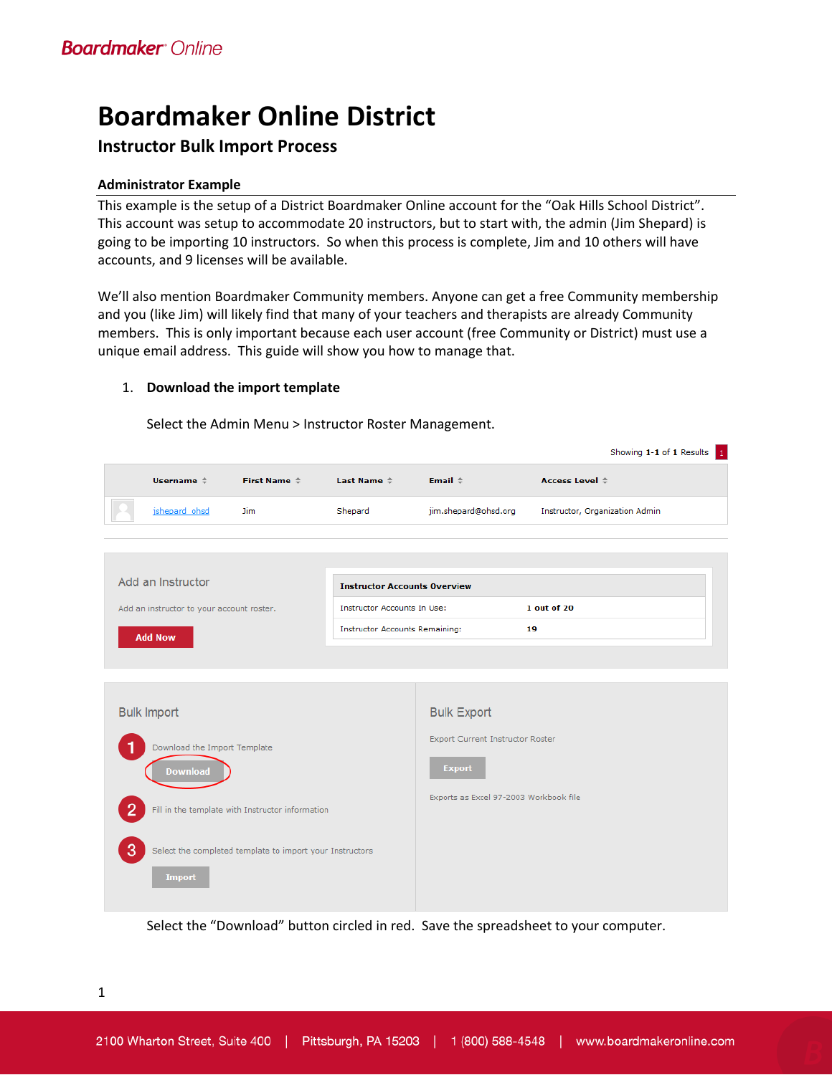# **Boardmaker Online District**

### **Instructor Bulk Import Process**

### **Administrator Example**

This example is the setup of a District Boardmaker Online account for the "Oak Hills School District". This account was setup to accommodate 20 instructors, but to start with, the admin (Jim Shepard) is going to be importing 10 instructors. So when this process is complete, Jim and 10 others will have accounts, and 9 licenses will be available.

We'll also mention Boardmaker Community members. Anyone can get a free Community membership and you (like Jim) will likely find that many of your teachers and therapists are already Community members. This is only important because each user account (free Community or District) must use a unique email address. This guide will show you how to manage that.

### 1. **Download the import template**

Select the Admin Menu > Instructor Roster Management.

|                |                                           |                                                                         |                                       |                                        | Showing 1-1 of 1 Results       |
|----------------|-------------------------------------------|-------------------------------------------------------------------------|---------------------------------------|----------------------------------------|--------------------------------|
|                | Username $\Leftrightarrow$                | First Name $\stackrel{\scriptscriptstyle\perp}{\scriptscriptstyle\sim}$ | Last Name $\triangleq$                | Email $\hat{=}$                        | Access Level $\triangle$       |
|                | jshepard ohsd                             | <b>Jim</b>                                                              | Shepard                               | jim.shepard@ohsd.org                   | Instructor, Organization Admin |
|                |                                           |                                                                         |                                       |                                        |                                |
|                |                                           |                                                                         |                                       |                                        |                                |
|                | Add an Instructor                         |                                                                         | <b>Instructor Accounts Overview</b>   |                                        |                                |
|                | Add an instructor to your account roster. |                                                                         | <b>Instructor Accounts In Use:</b>    |                                        | 1 out of 20                    |
|                | <b>Add Now</b>                            |                                                                         | <b>Instructor Accounts Remaining:</b> |                                        | 19                             |
|                |                                           |                                                                         |                                       |                                        |                                |
|                |                                           |                                                                         |                                       |                                        |                                |
|                |                                           |                                                                         |                                       |                                        |                                |
|                | <b>Bulk Import</b>                        |                                                                         |                                       | <b>Bulk Export</b>                     |                                |
|                | Download the Import Template              |                                                                         |                                       | Export Current Instructor Roster       |                                |
|                |                                           |                                                                         |                                       | <b>Export</b>                          |                                |
|                | <b>Download</b>                           |                                                                         |                                       |                                        |                                |
| $\overline{2}$ |                                           | Fill in the template with Instructor information                        |                                       | Exports as Excel 97-2003 Workbook file |                                |
|                |                                           |                                                                         |                                       |                                        |                                |
| 3              |                                           | Select the completed template to import your Instructors                |                                       |                                        |                                |
|                |                                           |                                                                         |                                       |                                        |                                |
|                | <b>Import</b>                             |                                                                         |                                       |                                        |                                |
|                |                                           |                                                                         |                                       |                                        |                                |

Select the "Download" button circled in red. Save the spreadsheet to your computer.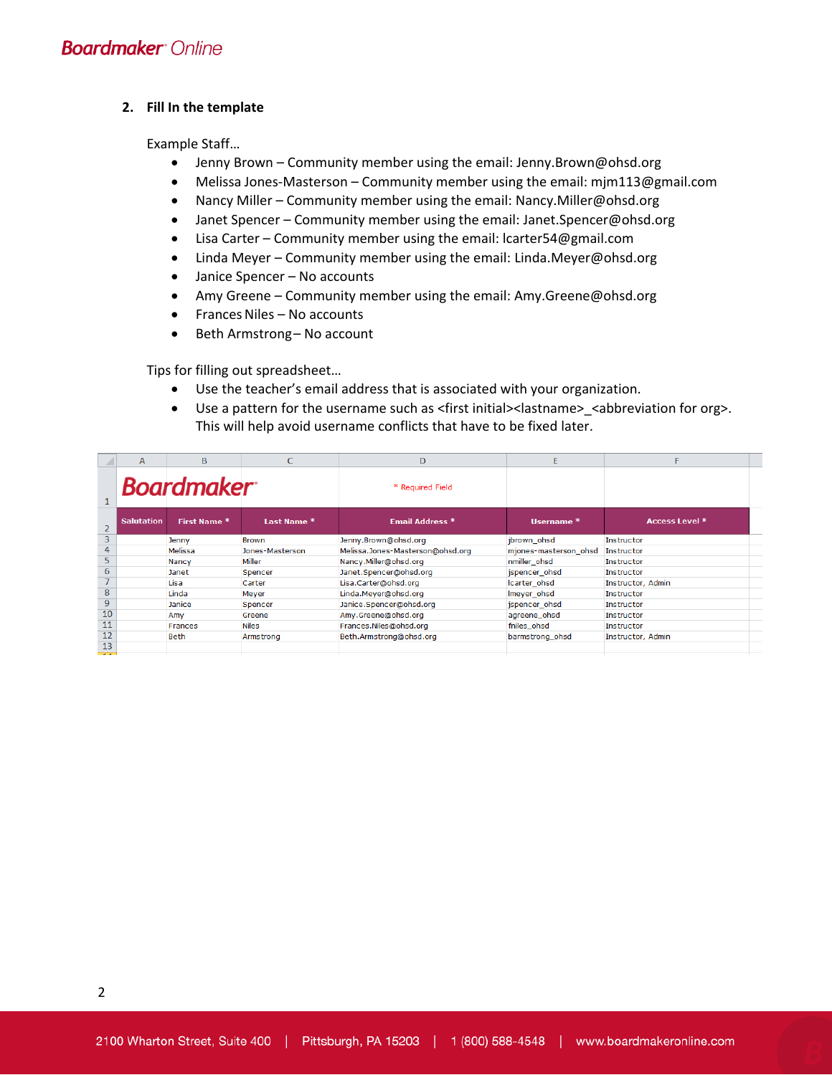#### **2. Fill In the template**

Example Staff…

- Jenny Brown Community member using the email: Jenny.Brown@ohsd.org
- Melissa Jones-Masterson Community member using the email: mjm113@gmail.com
- Nancy Miller Community member using the email: Nancy.Miller@ohsd.org
- Janet Spencer Community member using the email: Janet.Spencer@ohsd.org
- Lisa Carter Community member using the email: lcarter54@gmail.com
- Linda Meyer Community member using the email: Linda.Meyer@ohsd.org
- Janice Spencer No accounts
- Amy Greene Community member using the email: Amy.Greene@ohsd.org
- Frances Niles No accounts
- Beth Armstrong-No account

Tips for filling out spreadsheet…

- Use the teacher's email address that is associated with your organization.
- Use a pattern for the username such as <first initial><lastname>\_<abbreviation for org>. This will help avoid username conflicts that have to be fixed later.

|                          | $\mathsf{A}$      | B                 | C               | D                                | E                     |                   |
|--------------------------|-------------------|-------------------|-----------------|----------------------------------|-----------------------|-------------------|
|                          |                   | <b>Boardmaker</b> |                 | * Required Field                 |                       |                   |
| $\overline{2}$           | <b>Salutation</b> | First Name *      | Last Name *     | Email Address *                  | Username *            | Access Level *    |
| $\overline{3}$           |                   | Jenny             | <b>Brown</b>    | Jenny.Brown@ohsd.org             | jbrown ohsd           | Instructor        |
| 4                        |                   | Melissa           | Jones-Masterson | Melissa.Jones-Masterson@ohsd.org | mjones-masterson ohsd | Instructor        |
| 5                        |                   | Nancy             | Miller          | Nancy.Miller@ohsd.org            | nmiller_ohsd          | <b>Instructor</b> |
| 6                        |                   | Janet             | Spencer         | Janet.Spencer@ohsd.org           | jspencer_ohsd         | Instructor        |
| $\overline{\phantom{a}}$ |                   | Lisa              | Carter          | Lisa.Carter@ohsd.org             | Icarter ohsd          | Instructor, Admin |
| 8                        |                   | Linda             | Meyer           | Linda.Meyer@ohsd.org             | Imeyer_ohsd           | Instructor        |
| 9                        |                   | Janice            | Spencer         | Janice.Spencer@ohsd.org          | jspencer_ohsd         | Instructor        |
| 10                       |                   | Amy               | Greene          | Amy.Greene@ohsd.org              | agreene ohsd          | Instructor        |
| 11                       |                   | Frances           | <b>Niles</b>    | Frances.Niles@ohsd.org           | fniles ohsd           | Instructor        |
| 12                       |                   | <b>Beth</b>       | Armstrong       | Beth.Armstrong@ohsd.org          | barmstrong ohsd       | Instructor, Admin |
| 13                       |                   |                   |                 |                                  |                       |                   |
| $-$                      |                   |                   |                 |                                  |                       |                   |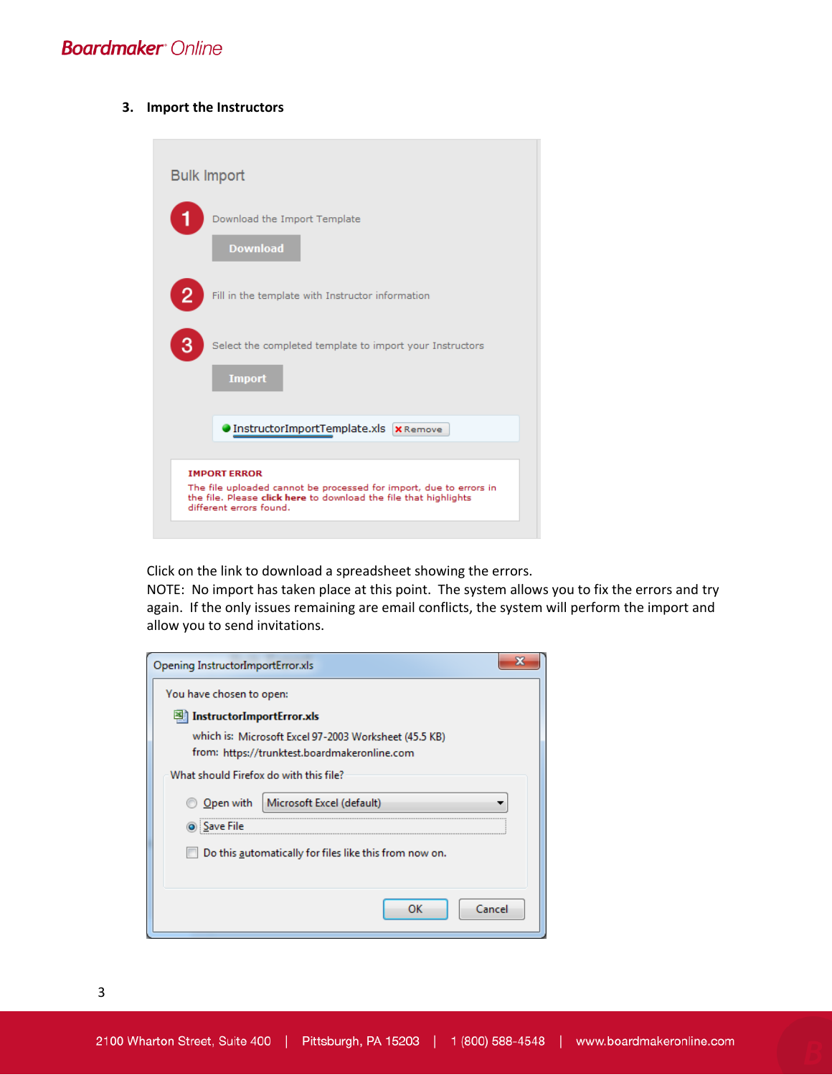#### **3. Import the Instructors**

| <b>Bulk Import</b> |                                                                                                                                                                                          |
|--------------------|------------------------------------------------------------------------------------------------------------------------------------------------------------------------------------------|
|                    | Download the Import Template<br><b>Download</b>                                                                                                                                          |
|                    | Fill in the template with Instructor information                                                                                                                                         |
| 3                  | Select the completed template to import your Instructors<br><b>Import</b>                                                                                                                |
|                    | InstructorImportTemplate.xls x Remove                                                                                                                                                    |
|                    | <b>IMPORT ERROR</b><br>The file uploaded cannot be processed for import, due to errors in<br>the file. Please click here to download the file that highlights<br>different errors found. |

Click on the link to download a spreadsheet showing the errors.

NOTE: No import has taken place at this point. The system allows you to fix the errors and try again. If the only issues remaining are email conflicts, the system will perform the import and allow you to send invitations.

| Opening InstructorImportError.xls                      |
|--------------------------------------------------------|
| You have chosen to open:                               |
| 图 InstructorImportError.xls                            |
| which is: Microsoft Excel 97-2003 Worksheet (45.5 KB)  |
| from: https://trunktest.boardmakeronline.com           |
| What should Firefox do with this file?                 |
| Microsoft Excel (default)<br>Open with                 |
| : Save File                                            |
| Do this automatically for files like this from now on. |
|                                                        |
|                                                        |
| Cancel<br>ок                                           |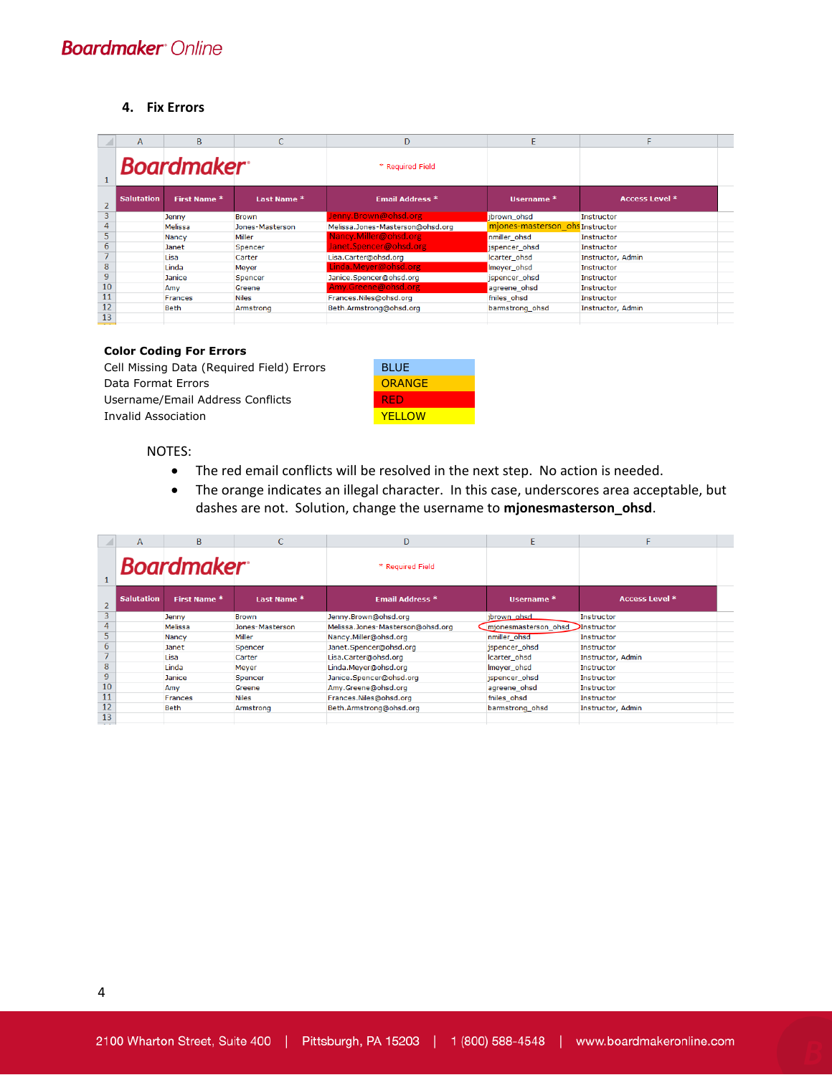#### **4. Fix Errors**

|                | $\mathsf{A}$      | <sub>B</sub>      | Ċ               | D                                | F                               | F                     |
|----------------|-------------------|-------------------|-----------------|----------------------------------|---------------------------------|-----------------------|
|                |                   | <b>Boardmaker</b> |                 | * Required Field                 |                                 |                       |
| $\overline{2}$ | <b>Salutation</b> | First Name *      | Last Name *     | Email Address *                  | Username *                      | <b>Access Level *</b> |
| $\overline{3}$ |                   | Jenny             | <b>Brown</b>    | Jenny.Brown@ohsd.org             | jbrown ohsd                     | Instructor            |
| 4              |                   | Melissa           | Jones-Masterson | Melissa.Jones-Masterson@ohsd.org | miones-masterson ohs Instructor |                       |
| 5.             |                   | Nancy             | Miller          | Nancy.Miller@ohsd.org            | nmiller ohsd                    | <b>Instructor</b>     |
| 6              |                   | Janet             | Spencer         | Janet.Spencer@ohsd.org           | ispencer ohsd                   | <b>Instructor</b>     |
| $\overline{7}$ |                   | Lisa              | Carter          | Lisa.Carter@ohsd.org             | Icarter ohsd                    | Instructor, Admin     |
| 8              |                   | Linda             | Meyer           | Linda.Meyer@ohsd.org             | Imeyer_ohsd                     | Instructor            |
| $\overline{9}$ |                   | Janice            | Spencer         | Janice.Spencer@ohsd.org          | jspencer_ohsd                   | <b>Instructor</b>     |
| 10             |                   | Amy               | Greene          | Amy.Greene@ohsd.org              | agreene_ohsd                    | <b>Instructor</b>     |
| 11             |                   | <b>Frances</b>    | <b>Niles</b>    | Frances.Niles@ohsd.org           | fniles_ohsd                     | <b>Instructor</b>     |
| 12             |                   | <b>Beth</b>       | Armstrong       | Beth.Armstrong@ohsd.org          | barmstrong_ohsd                 | Instructor, Admin     |
| 13             |                   |                   |                 |                                  |                                 |                       |

#### **Color Coding For Errors**

Cell Missing Data (Required Field) Errors Data Format Errors Username/Email Address Conflicts Invalid Association

| BI UE    |  |
|----------|--|
| ORANGE   |  |
| RED      |  |
| YFI I OW |  |

#### NOTES:

- The red email conflicts will be resolved in the next step. No action is needed.
- The orange indicates an illegal character. In this case, underscores area acceptable, but dashes are not. Solution, change the username to **mjonesmasterson\_ohsd**.

|                           | A                 | B                 |                 | D                                | Ë                     |                       |
|---------------------------|-------------------|-------------------|-----------------|----------------------------------|-----------------------|-----------------------|
|                           |                   | <b>Boardmaker</b> |                 | * Required Field                 |                       |                       |
| $\overline{2}$            | <b>Salutation</b> | First Name *      | Last Name *     | <b>Email Address *</b>           | Username <sup>*</sup> | <b>Access Level *</b> |
| 3                         |                   | Jenny             | Brown           | Jenny.Brown@ohsd.org             | jbrown ohsd           | Instructor            |
| 4                         |                   | Melissa           | Jones-Masterson | Melissa.Jones-Masterson@ohsd.org | mionesmasterson ohsd  | Instructor            |
| 5                         |                   | <b>Nancy</b>      | Miller          | Nancy.Miller@ohsd.org            | nmiller ohsd          | Instructor            |
| 6                         |                   | Janet             | Spencer         | Janet.Spencer@ohsd.org           | ispencer ohsd         | Instructor            |
|                           |                   | Lisa              | Carter          | Lisa.Carter@ohsd.org             | Icarter ohsd          | Instructor, Admin     |
| 8                         |                   | Linda             | Meyer           | Linda.Meyer@ohsd.org             | Imeyer ohsd           | Instructor            |
| $\overline{9}$            |                   | Janice            | Spencer         | Janice.Spencer@ohsd.org          | ispencer ohsd         | Instructor            |
| 10                        |                   | Amy               | Greene          | Amy.Greene@ohsd.org              | agreene ohsd          | Instructor            |
| 11                        |                   | <b>Frances</b>    | <b>Niles</b>    | Frances.Niles@ohsd.org           | fniles_ohsd           | Instructor            |
| 12<br>13<br>$\sim$ $\sim$ |                   | <b>Beth</b>       | Armstrong       | Beth.Armstrong@ohsd.org          | barmstrong ohsd       | Instructor, Admin     |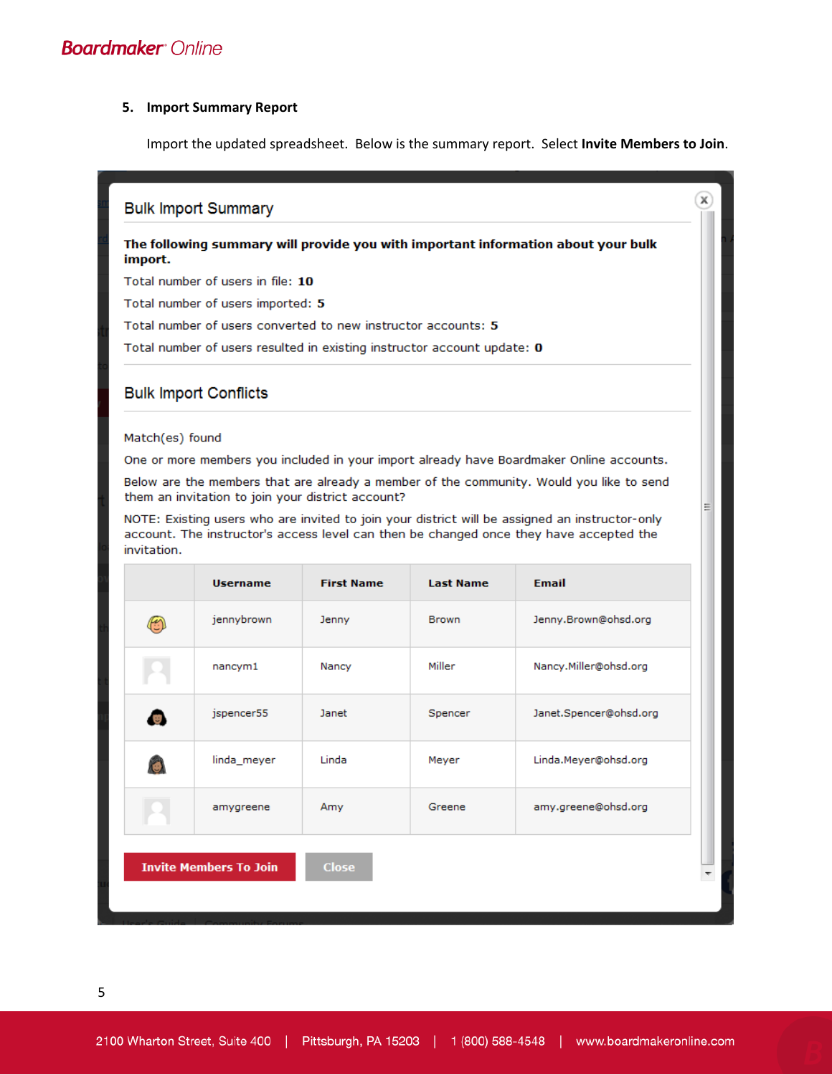#### **5. Import Summary Report**

Import the updated spreadsheet. Below is the summary report. Select **Invite Members to Join**.

#### **Bulk Import Summary**

#### The following summary will provide you with important information about your bulk import.

Total number of users in file: 10

Total number of users imported: 5

Total number of users converted to new instructor accounts: 5

Total number of users resulted in existing instructor account update: 0

### **Bulk Import Conflicts**

#### Match(es) found

One or more members you included in your import already have Boardmaker Online accounts.

Below are the members that are already a member of the community. Would you like to send them an invitation to join your district account?

NOTE: Existing users who are invited to join your district will be assigned an instructor-only account. The instructor's access level can then be changed once they have accepted the invitation.

| <b>Username</b>               | <b>First Name</b> | <b>Last Name</b> | <b>Email</b>           |   |
|-------------------------------|-------------------|------------------|------------------------|---|
| jennybrown                    | Jenny             | <b>Brown</b>     | Jenny.Brown@ohsd.org   |   |
| nancym1                       | Nancy             | Miller           | Nancy.Miller@ohsd.org  |   |
| jspencer55                    | Janet             | Spencer          | Janet.Spencer@ohsd.org |   |
| linda_meyer                   | Linda             | Meyer            | Linda.Meyer@ohsd.org   |   |
| amygreene                     | Amy               | Greene           | amy.greene@ohsd.org    |   |
| <b>Invite Members To Join</b> | <b>Close</b>      |                  |                        | ▼ |
|                               |                   |                  |                        |   |

 $\mathbf{x}$ 

Ė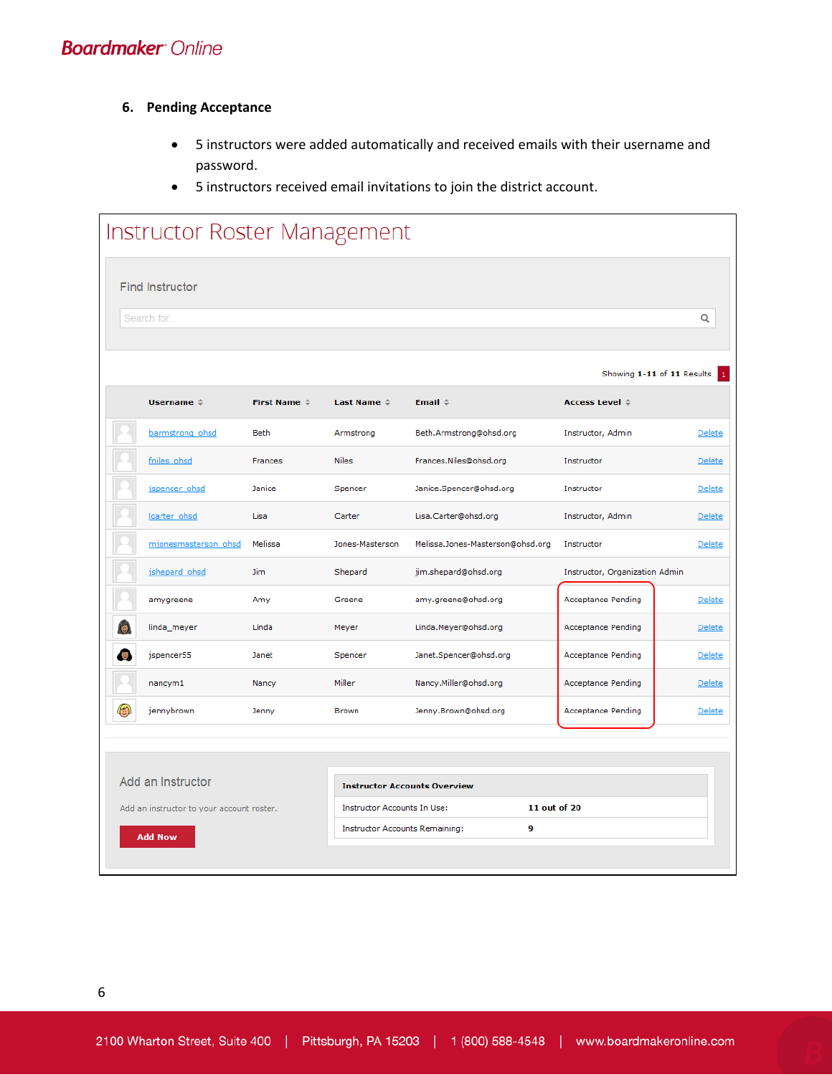- **6. Pending Acceptance**
	- 5 instructors were added automatically and received emails with their username and password.
	- 5 instructors received email invitations to join the district account.

| Instructor Roster Management              |                      |                                                                           |                                  |                                                  |               |
|-------------------------------------------|----------------------|---------------------------------------------------------------------------|----------------------------------|--------------------------------------------------|---------------|
| <b>Find Instructor</b>                    |                      |                                                                           |                                  |                                                  |               |
| Search for.                               |                      |                                                                           |                                  |                                                  | Q             |
|                                           |                      |                                                                           |                                  |                                                  |               |
|                                           |                      |                                                                           |                                  | Showing 1-11 of 11 Results                       |               |
| Username $\Leftrightarrow$                | First Name $\hat{=}$ | Last Name $\Leftrightarrow$                                               | Email $\Leftrightarrow$          | <b>Access Level <math>\Leftrightarrow</math></b> |               |
| barmstrong ohsd                           | <b>Beth</b>          | Armstrong                                                                 | Beth.Armstrong@ohsd.org          | Instructor, Admin                                | Delete        |
| fniles ohsd                               | Frances              | <b>Niles</b>                                                              | Frances.Niles@ohsd.org           | Instructor                                       | Delete        |
| ispencer ohsd                             | Janice               | Spencer                                                                   | Janice.Spencer@ohsd.org          | Instructor                                       | Delete        |
| carter ohsd                               | Lisa                 | Carter                                                                    | Lisa.Carter@ohsd.org             | Instructor, Admin                                | Delete        |
| mjonesmasterson ohsd                      | Melissa              | Jones-Masterson                                                           | Melissa.Jones-Masterson@ohsd.org | Instructor                                       | Delete        |
| jshepard ohsd                             | <b>Jim</b>           | Shepard                                                                   | jim.shepard@ohsd.org             | Instructor, Organization Admin                   |               |
| amygreene                                 | Amy                  | Greene                                                                    | amy.greene@ohsd.org              | Acceptance Pending                               | Delete        |
| linda_meyer                               | Linda                | Meyer                                                                     | Linda.Meyer@ohsd.org             | Acceptance Pending                               | Delete        |
| jspencer55                                | Janet                | Spencer                                                                   | Janet.Spencer@ohsd.org           | Acceptance Pending                               | Delete        |
| nancym1                                   | Nancy                | Miller                                                                    | Nancy.Miller@ohsd.org            | Acceptance Pending                               | Delete        |
| jennybrown                                | Jenny                | Brown                                                                     | Jenny.Brown@ohsd.org             | Acceptance Pending                               | <b>Delete</b> |
|                                           |                      |                                                                           |                                  |                                                  |               |
| Add an Instructor                         |                      |                                                                           |                                  |                                                  |               |
|                                           |                      | <b>Instructor Accounts Overview</b><br><b>Instructor Accounts In Use:</b> |                                  | 11 out of 20                                     |               |
| Add an instructor to your account roster. |                      | <b>Instructor Accounts Remaining:</b>                                     | 9                                |                                                  |               |
| <b>Add Now</b>                            |                      |                                                                           |                                  |                                                  |               |
|                                           |                      |                                                                           |                                  |                                                  |               |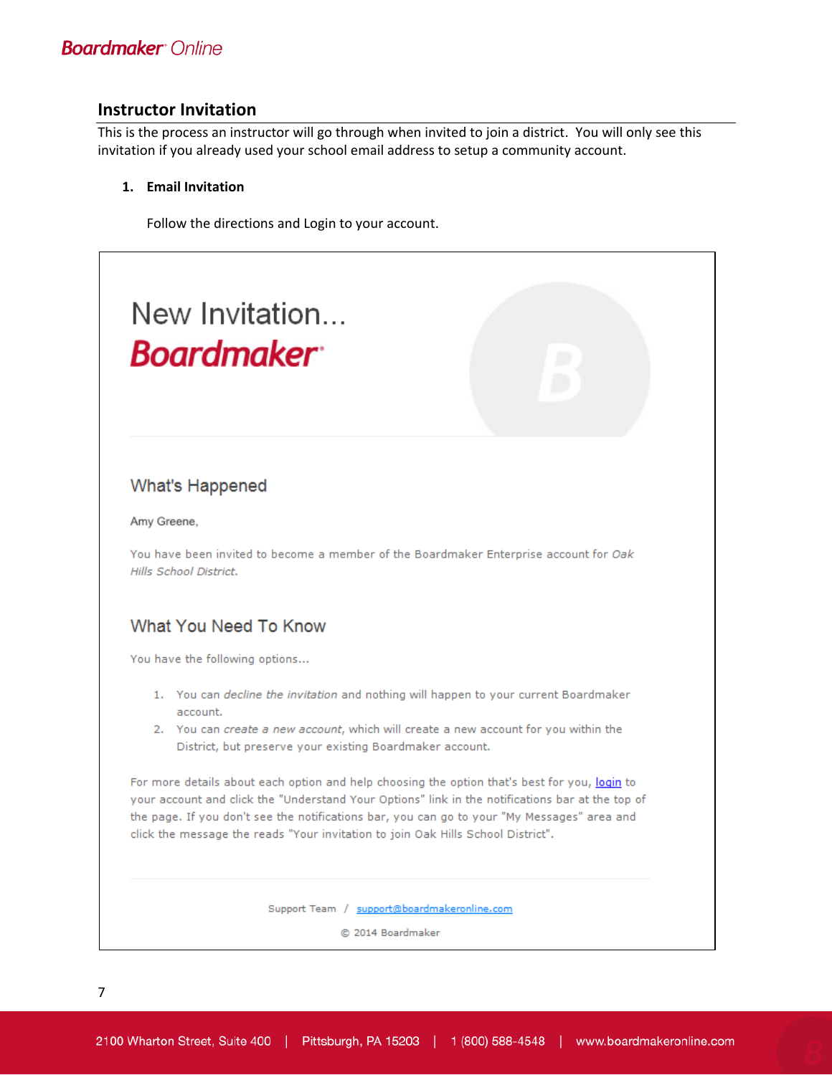### **Instructor Invitation**

This is the process an instructor will go through when invited to join a district. You will only see this invitation if you already used your school email address to setup a community account.

### **1. Email Invitation**

Follow the directions and Login to your account.



### **What's Happened**

Amy Greene,

You have been invited to become a member of the Boardmaker Enterprise account for Oak Hills School District.

### What You Need To Know

You have the following options...

- 1. You can decline the invitation and nothing will happen to your current Boardmaker account.
- 2. You can create a new account, which will create a new account for you within the District, but preserve your existing Boardmaker account.

For more details about each option and help choosing the option that's best for you, login to your account and click the "Understand Your Options" link in the notifications bar at the top of the page. If you don't see the notifications bar, you can go to your "My Messages" area and click the message the reads "Your invitation to join Oak Hills School District".

Support Team / support@boardmakeronline.com

@ 2014 Boardmaker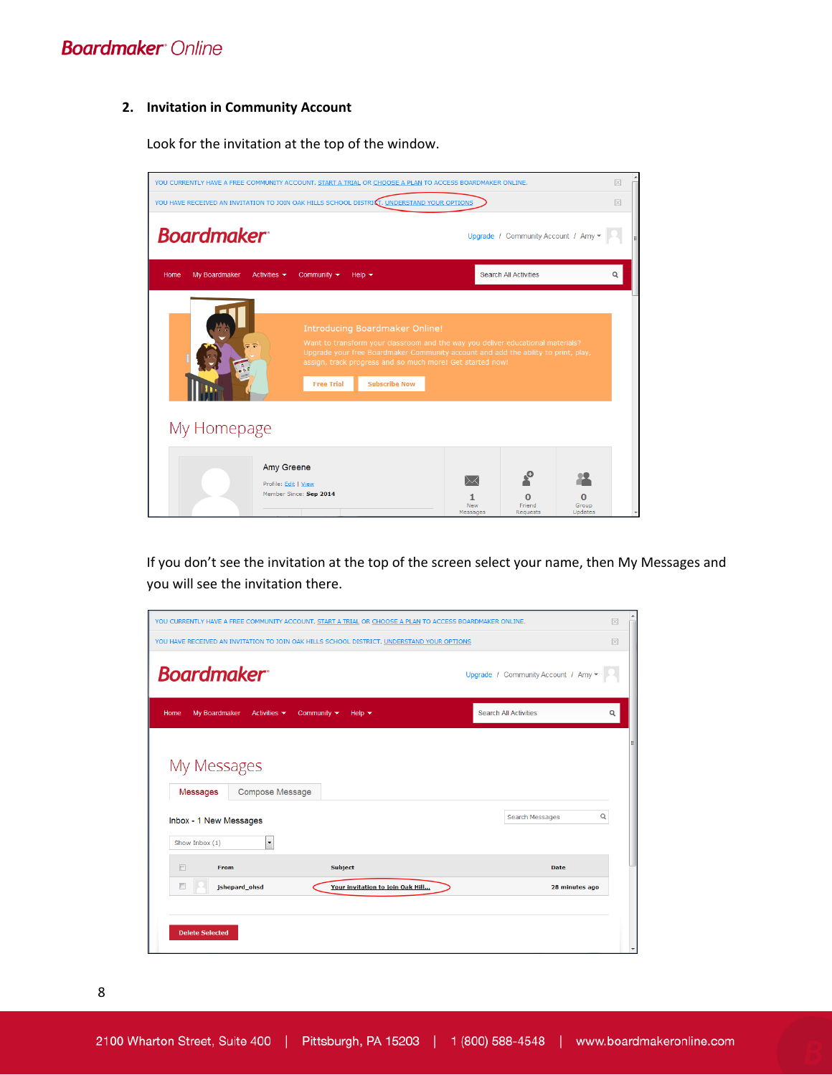#### **2. Invitation in Community Account**

Look for the invitation at the top of the window.



If you don't see the invitation at the top of the screen select your name, then My Messages and you will see the invitation there.



8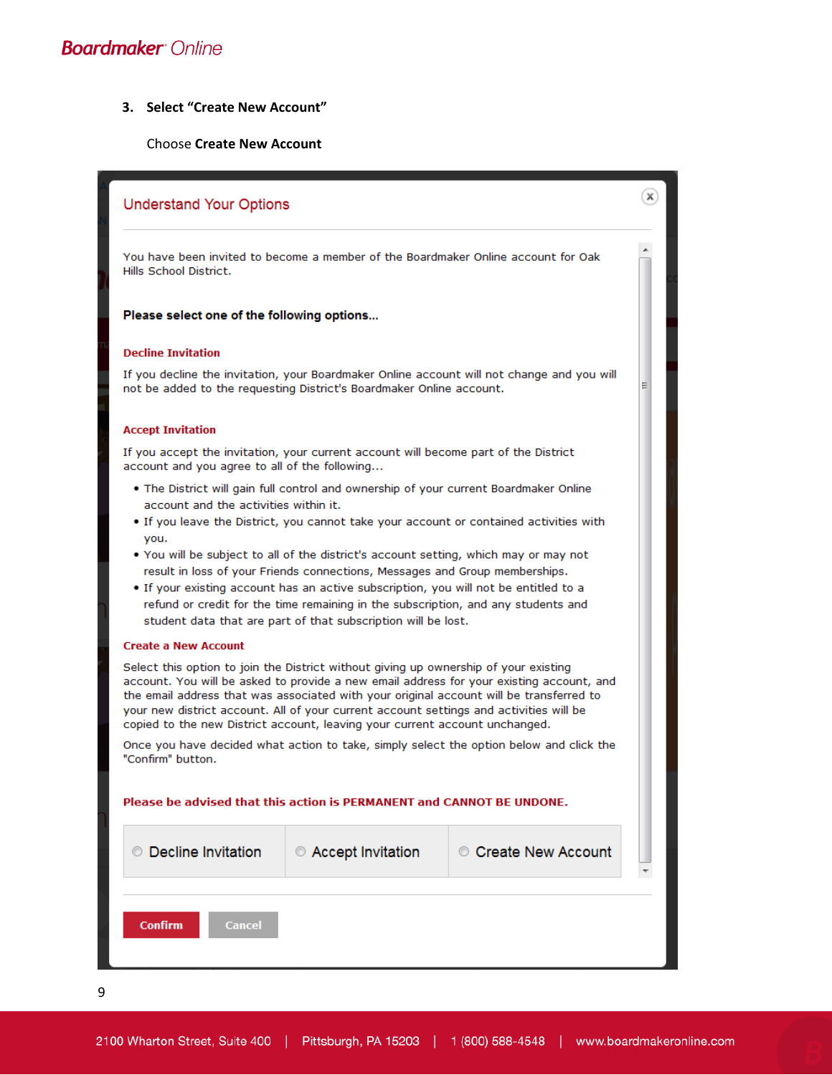#### **3. Select "Create New Account"**

#### Choose **Create New Account**

# $(\mathbf{x})$ **Understand Your Options** You have been invited to become a member of the Boardmaker Online account for Oak Hills School District. Please select one of the following options... **Decline Invitation** If you decline the invitation, your Boardmaker Online account will not change and you will not be added to the requesting District's Boardmaker Online account. **Accept Invitation** If you accept the invitation, your current account will become part of the District account and you agree to all of the following... . The District will gain full control and ownership of your current Boardmaker Online account and the activities within it. . If you leave the District, you cannot take your account or contained activities with you. . You will be subject to all of the district's account setting, which may or may not result in loss of your Friends connections, Messages and Group memberships. . If your existing account has an active subscription, you will not be entitled to a refund or credit for the time remaining in the subscription, and any students and student data that are part of that subscription will be lost. **Create a New Account** Select this option to join the District without giving up ownership of your existing account. You will be asked to provide a new email address for your existing account, and the email address that was associated with your original account will be transferred to your new district account. All of your current account settings and activities will be copied to the new District account, leaving your current account unchanged. Once you have decided what action to take, simply select the option below and click the "Confirm" button. Please be advised that this action is PERMANENT and CANNOT BE UNDONE. © Decline Invitation Accept Invitation Create New Account Confirm Cance

9